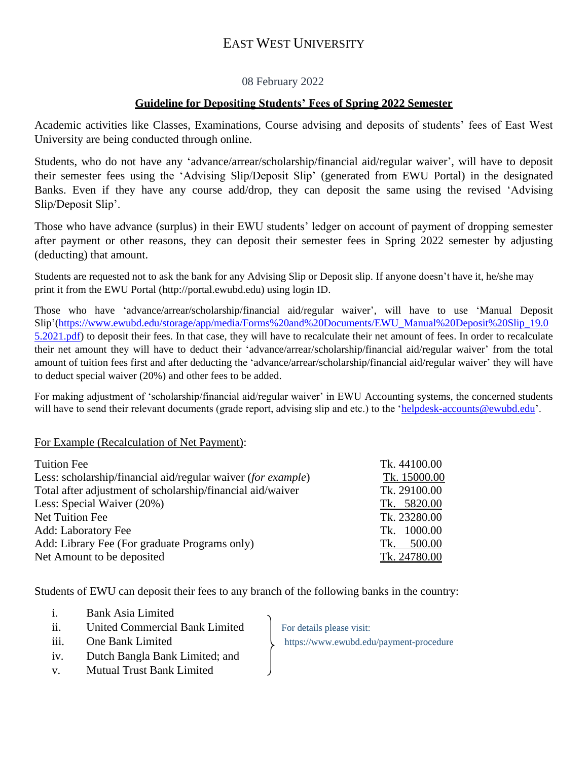# EAST WEST UNIVERSITY

### 08 February 2022

#### **Guideline for Depositing Students' Fees of Spring 2022 Semester**

Academic activities like Classes, Examinations, Course advising and deposits of students' fees of East West University are being conducted through online.

Students, who do not have any 'advance/arrear/scholarship/financial aid/regular waiver', will have to deposit their semester fees using the 'Advising Slip/Deposit Slip' (generated from EWU Portal) in the designated Banks. Even if they have any course add/drop, they can deposit the same using the revised 'Advising Slip/Deposit Slip'.

Those who have advance (surplus) in their EWU students' ledger on account of payment of dropping semester after payment or other reasons, they can deposit their semester fees in Spring 2022 semester by adjusting (deducting) that amount.

Students are requested not to ask the bank for any Advising Slip or Deposit slip. If anyone doesn't have it, he/she may print it from the EWU Portal [\(http://portal.ewubd.edu\)](http://portal.ewubd.edu/) using login ID.

Those who have 'advance/arrear/scholarship/financial aid/regular waiver', will have to use 'Manual Deposit Slip'[\(https://www.ewubd.edu/storage/app/media/Forms%20and%20Documents/EWU\\_Manual%20Deposit%20Slip\\_19.0](https://www.ewubd.edu/storage/app/media/Forms%20and%20Documents/EWU_Manual%20Deposit%20Slip_19.05.2021.pdf) [5.2021.pdf\)](https://www.ewubd.edu/storage/app/media/Forms%20and%20Documents/EWU_Manual%20Deposit%20Slip_19.05.2021.pdf) to deposit their fees. In that case, they will have to recalculate their net amount of fees. In order to recalculate their net amount they will have to deduct their 'advance/arrear/scholarship/financial aid/regular waiver' from the total amount of tuition fees first and after deducting the 'advance/arrear/scholarship/financial aid/regular waiver' they will have to deduct special waiver (20%) and other fees to be added.

For making adjustment of 'scholarship/financial aid/regular waiver' in EWU Accounting systems, the concerned students will have to send their relevant documents (grade report, advising slip and etc.) to the ['helpdesk-accounts@ewubd.edu'](mailto:helpdesk-accounts@ewubd.edu).

#### For Example (Recalculation of Net Payment):

| <b>Tuition Fee</b>                                           | Tk. 44100.00  |
|--------------------------------------------------------------|---------------|
| Less: scholarship/financial aid/regular waiver (for example) | Tk. 15000.00  |
| Total after adjustment of scholarship/financial aid/waiver   | Tk. 29100.00  |
| Less: Special Waiver (20%)                                   | Tk. 5820.00   |
| Net Tuition Fee                                              | Tk. 23280.00  |
| Add: Laboratory Fee                                          | Tk. 1000.00   |
| Add: Library Fee (For graduate Programs only)                | 500.00<br>Tk. |
| Net Amount to be deposited                                   | Tk. 24780.00  |

Students of EWU can deposit their fees to any branch of the following banks in the country:

- i. Bank Asia Limited
- ii. United Commercial Bank Limited For details please visit:
- iii. One Bank Limited https://www.ewubd.edu/payment-procedure
- iv. Dutch Bangla Bank Limited; and
- v. Mutual Trust Bank Limited